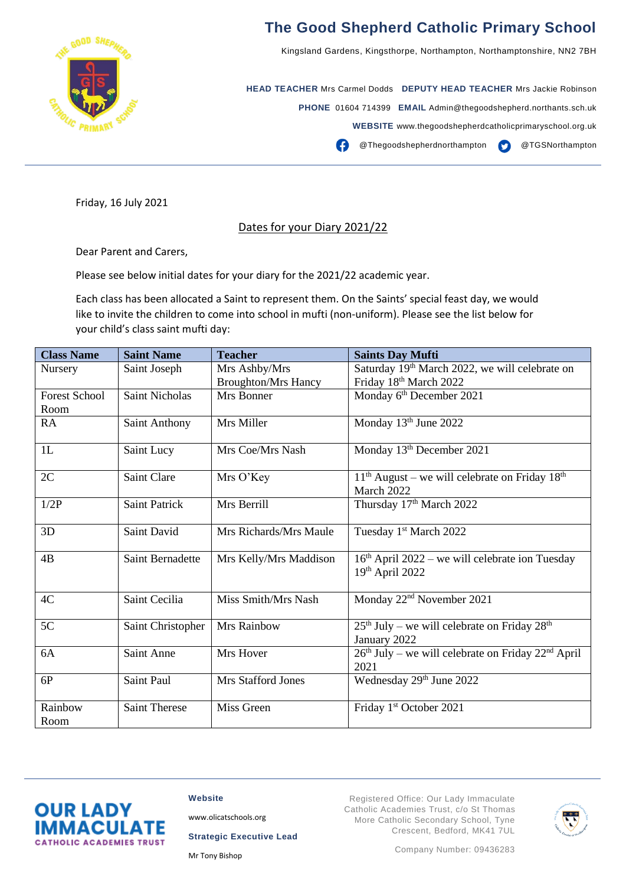

## **The Good Shepherd Catholic Primary School**

Kingsland Gardens, Kingsthorpe, Northampton, Northamptonshire, NN2 7BH

**HEAD TEACHER** Mrs Carmel Dodds **DEPUTY HEAD TEACHER** Mrs Jackie Robinson **PHONE** 01604 714399 **EMAIL** Admin@thegoodshepherd.northants.sch.uk **WEBSITE** www.thegoodshepherdcatholicprimaryschool.org.uk

**CO** Thegoodshepherdnorthampton **CO** @TGSNorthampton

Friday, 16 July 2021

## Dates for your Diary 2021/22

Dear Parent and Carers,

Please see below initial dates for your diary for the 2021/22 academic year.

Each class has been allocated a Saint to represent them. On the Saints' special feast day, we would like to invite the children to come into school in mufti (non-uniform). Please see the list below for your child's class saint mufti day:

| <b>Class Name</b>    | <b>Saint Name</b>       | <b>Teacher</b>             | <b>Saints Day Mufti</b>                                                |
|----------------------|-------------------------|----------------------------|------------------------------------------------------------------------|
| Nursery              | Saint Joseph            | Mrs Ashby/Mrs              | Saturday 19th March 2022, we will celebrate on                         |
|                      |                         | <b>Broughton/Mrs Hancy</b> | Friday 18th March 2022                                                 |
| <b>Forest School</b> | <b>Saint Nicholas</b>   | Mrs Bonner                 | Monday 6th December 2021                                               |
| Room                 |                         |                            |                                                                        |
| RA                   | Saint Anthony           | Mrs Miller                 | Monday 13th June 2022                                                  |
| 1L                   | Saint Lucy              | Mrs Coe/Mrs Nash           | Monday 13 <sup>th</sup> December 2021                                  |
| 2C                   | Saint Clare             | Mrs O'Key                  | $11th$ August – we will celebrate on Friday $18th$<br>March 2022       |
| 1/2P                 | <b>Saint Patrick</b>    | Mrs Berrill                | Thursday 17th March 2022                                               |
| 3D                   | Saint David             | Mrs Richards/Mrs Maule     | Tuesday 1 <sup>st</sup> March 2022                                     |
| 4B                   | <b>Saint Bernadette</b> | Mrs Kelly/Mrs Maddison     | $16th$ April 2022 – we will celebrate ion Tuesday<br>$19th$ April 2022 |
| 4C                   | Saint Cecilia           | Miss Smith/Mrs Nash        | Monday 22 <sup>nd</sup> November 2021                                  |
| 5C                   | Saint Christopher       | Mrs Rainbow                | $25th$ July – we will celebrate on Friday $28th$<br>January 2022       |
| 6A                   | Saint Anne              | Mrs Hover                  | $26th$ July – we will celebrate on Friday $22nd$ April<br>2021         |
| 6P                   | <b>Saint Paul</b>       | <b>Mrs Stafford Jones</b>  | Wednesday 29th June 2022                                               |
| Rainbow<br>Room      | <b>Saint Therese</b>    | Miss Green                 | Friday 1st October 2021                                                |



**Website**

[www.olicatschools.org](http://www.olicatschools.org/)

**Strategic Executive Lead**

Mr Tony Bishop

Registered Office: Our Lady Immaculate Catholic Academies Trust, c/o St Thomas More Catholic Secondary School, Tyne Crescent, Bedford, MK41 7UL